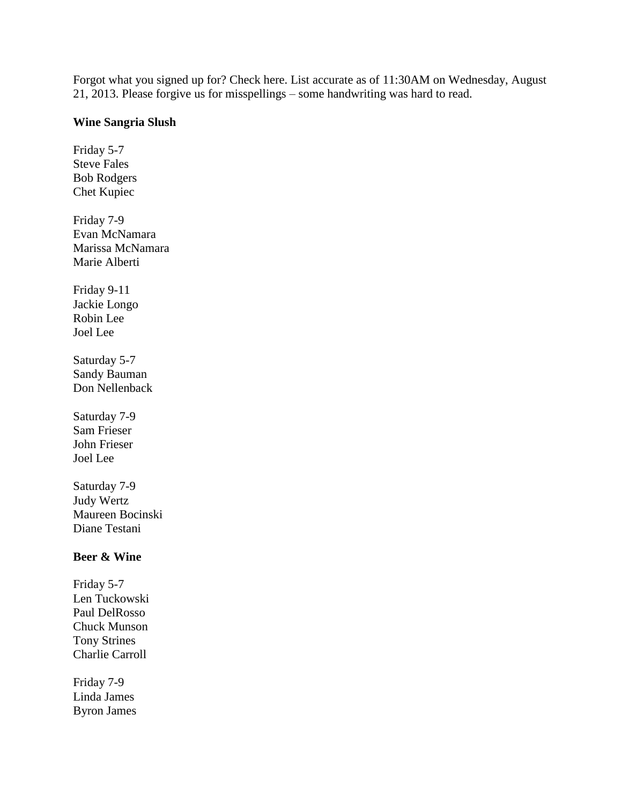Forgot what you signed up for? Check here. List accurate as of 11:30AM on Wednesday, August 21, 2013. Please forgive us for misspellings – some handwriting was hard to read.

## **Wine Sangria Slush**

Friday 5-7 Steve Fales Bob Rodgers Chet Kupiec Friday 7-9 Evan McNamara Marissa McNamara Marie Alberti Friday 9-11 Jackie Longo Robin Lee Joel Lee Saturday 5-7 Sandy Bauman Don Nellenback Saturday 7-9 Sam Frieser John Frieser Joel Lee Saturday 7-9 Judy Wertz Maureen Bocinski Diane Testani **Beer & Wine** Friday 5-7 Len Tuckowski Paul DelRosso Chuck Munson Tony Strines Charlie Carroll

Friday 7-9 Linda James Byron James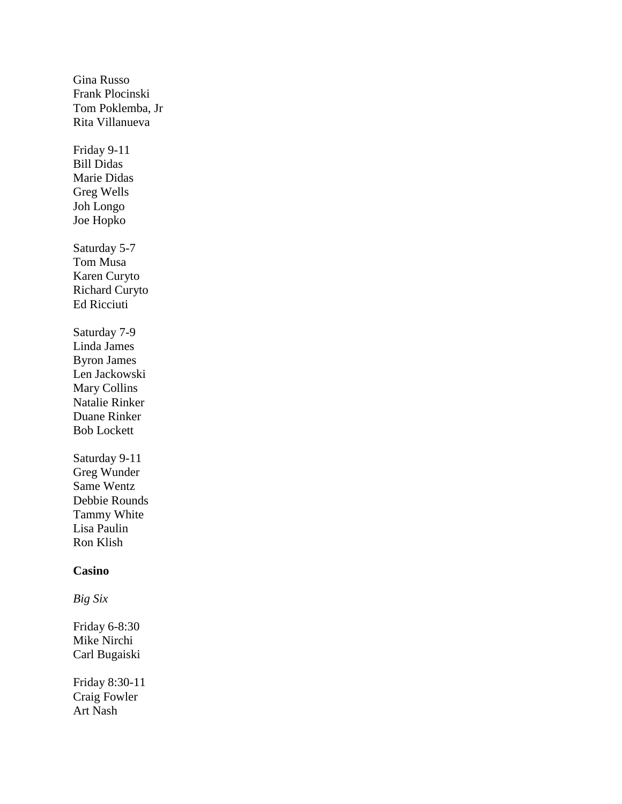Gina Russo Frank Plocinski Tom Poklemba, Jr Rita Villanueva Friday 9-11 Bill Didas Marie Didas Greg Wells Joh Longo Joe Hopko Saturday 5-7 Tom Musa Karen Curyto Richard Curyto Ed Ricciuti Saturday 7-9 Linda James Byron James Len Jackowski Mary Collins Natalie Rinker Duane Rinker Bob Lockett Saturday 9-11 Greg Wunder Same Wentz Debbie Rounds Tammy White Lisa Paulin Ron Klish **Casino** *Big Six* Friday 6-8:30 Mike Nirchi Carl Bugaiski Friday 8:30-11 Craig Fowler Art Nash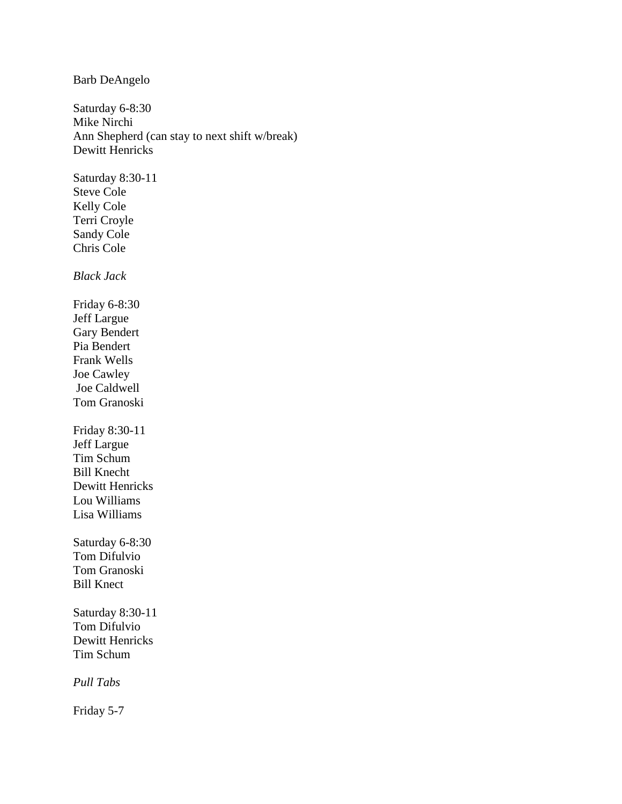Barb DeAngelo

Saturday 6-8:30 Mike Nirchi Ann Shepherd (can stay to next shift w/break) Dewitt Henricks

Saturday 8:30-11 Steve Cole Kelly Cole Terri Croyle Sandy Cole Chris Cole

*Black Jack*

Friday 6-8:30 Jeff Largue Gary Bendert Pia Bendert Frank Wells Joe Cawley Joe Caldwell Tom Granoski Friday 8:30-11

Jeff Largue Tim Schum Bill Knecht Dewitt Henricks Lou Williams Lisa Williams

Saturday 6-8:30 Tom Difulvio Tom Granoski Bill Knect

Saturday 8:30-11 Tom Difulvio Dewitt Henricks Tim Schum

*Pull Tabs*

Friday 5-7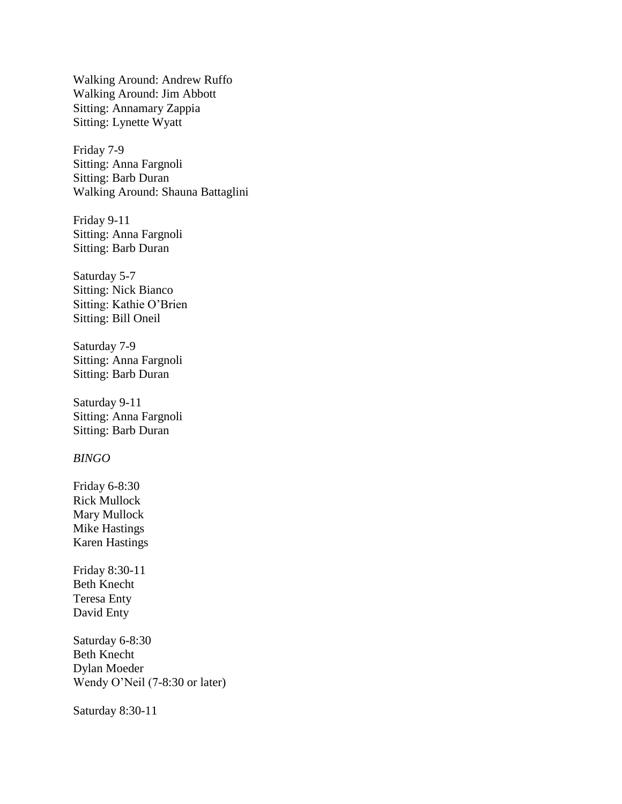Walking Around: Andrew Ruffo Walking Around: Jim Abbott Sitting: Annamary Zappia Sitting: Lynette Wyatt

Friday 7-9 Sitting: Anna Fargnoli Sitting: Barb Duran Walking Around: Shauna Battaglini

Friday 9-11 Sitting: Anna Fargnoli Sitting: Barb Duran

Saturday 5-7 Sitting: Nick Bianco Sitting: Kathie O'Brien Sitting: Bill Oneil

Saturday 7-9 Sitting: Anna Fargnoli Sitting: Barb Duran

Saturday 9-11 Sitting: Anna Fargnoli Sitting: Barb Duran

# *BINGO*

Friday 6-8:30 Rick Mullock Mary Mullock Mike Hastings Karen Hastings

Friday 8:30-11 Beth Knecht Teresa Enty David Enty

Saturday 6-8:30 Beth Knecht Dylan Moeder Wendy O'Neil (7-8:30 or later)

Saturday 8:30-11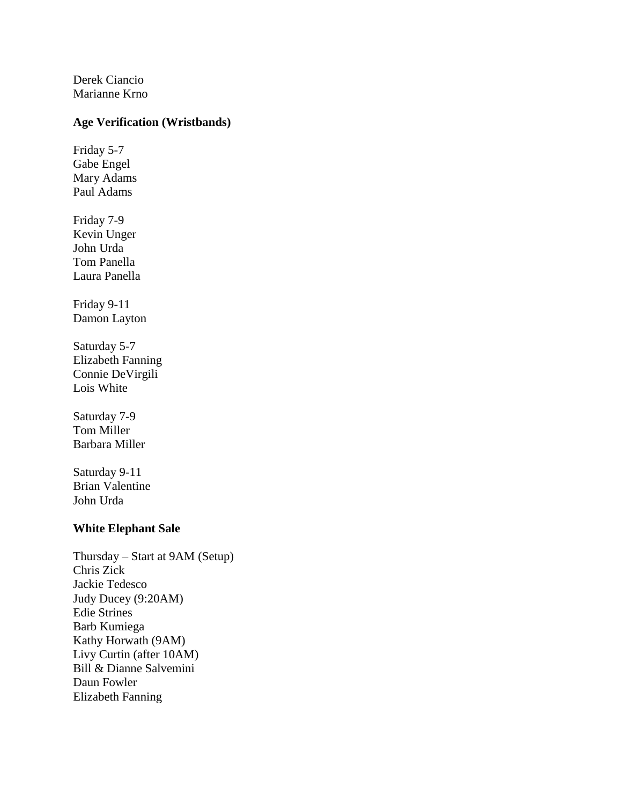Derek Ciancio Marianne Krno

# **Age Verification (Wristbands)**

Friday 5-7 Gabe Engel Mary Adams Paul Adams

Friday 7-9 Kevin Unger John Urda Tom Panella Laura Panella

Friday 9-11 Damon Layton

Saturday 5-7 Elizabeth Fanning Connie DeVirgili Lois White

Saturday 7-9 Tom Miller Barbara Miller

Saturday 9-11 Brian Valentine John Urda

## **White Elephant Sale**

Thursday – Start at 9AM (Setup) Chris Zick Jackie Tedesco Judy Ducey (9:20AM) Edie Strines Barb Kumiega Kathy Horwath (9AM) Livy Curtin (after 10AM) Bill & Dianne Salvemini Daun Fowler Elizabeth Fanning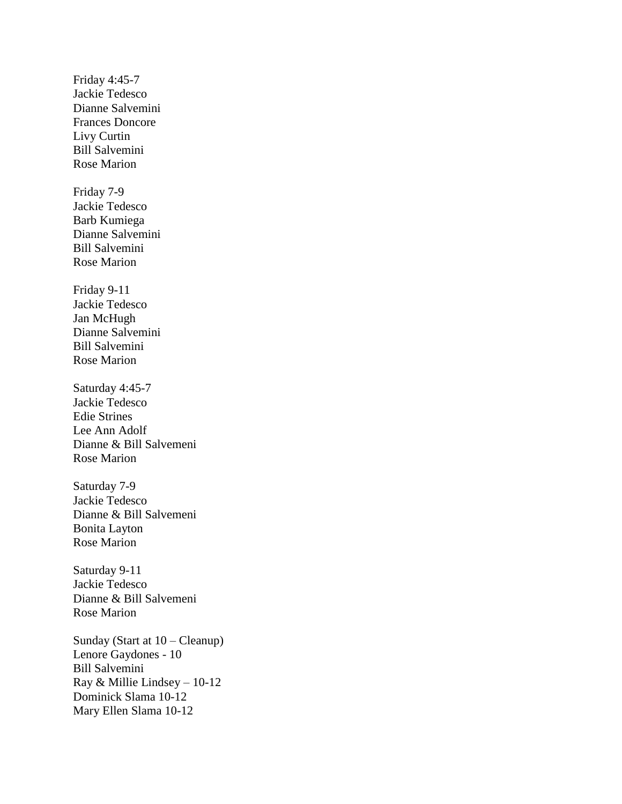Friday 4:45-7 Jackie Tedesco Dianne Salvemini Frances Doncore Livy Curtin Bill Salvemini Rose Marion Friday 7-9 Jackie Tedesco Barb Kumiega Dianne Salvemini Bill Salvemini Rose Marion Friday 9-11 Jackie Tedesco Jan McHugh Dianne Salvemini Bill Salvemini Rose Marion Saturday 4:45-7 Jackie Tedesco Edie Strines Lee Ann Adolf Dianne & Bill Salvemeni Rose Marion Saturday 7-9 Jackie Tedesco Dianne & Bill Salvemeni Bonita Layton Rose Marion Saturday 9-11 Jackie Tedesco Dianne & Bill Salvemeni Rose Marion Sunday (Start at 10 – Cleanup) Lenore Gaydones - 10 Bill Salvemini Ray & Millie Lindsey – 10-12 Dominick Slama 10-12 Mary Ellen Slama 10-12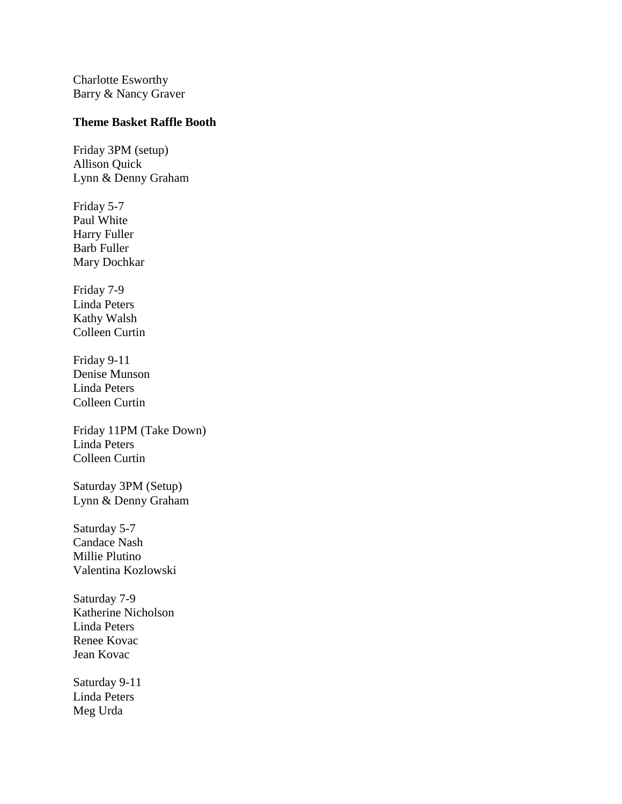Charlotte Esworthy Barry & Nancy Graver

## **Theme Basket Raffle Booth**

Friday 3PM (setup) Allison Quick Lynn & Denny Graham

Friday 5-7 Paul White Harry Fuller Barb Fuller Mary Dochkar

Friday 7-9 Linda Peters Kathy Walsh Colleen Curtin

Friday 9-11 Denise Munson Linda Peters Colleen Curtin

Friday 11PM (Take Down) Linda Peters Colleen Curtin

Saturday 3PM (Setup) Lynn & Denny Graham

Saturday 5-7 Candace Nash Millie Plutino Valentina Kozlowski

Saturday 7-9 Katherine Nicholson Linda Peters Renee Kovac Jean Kovac

Saturday 9-11 Linda Peters Meg Urda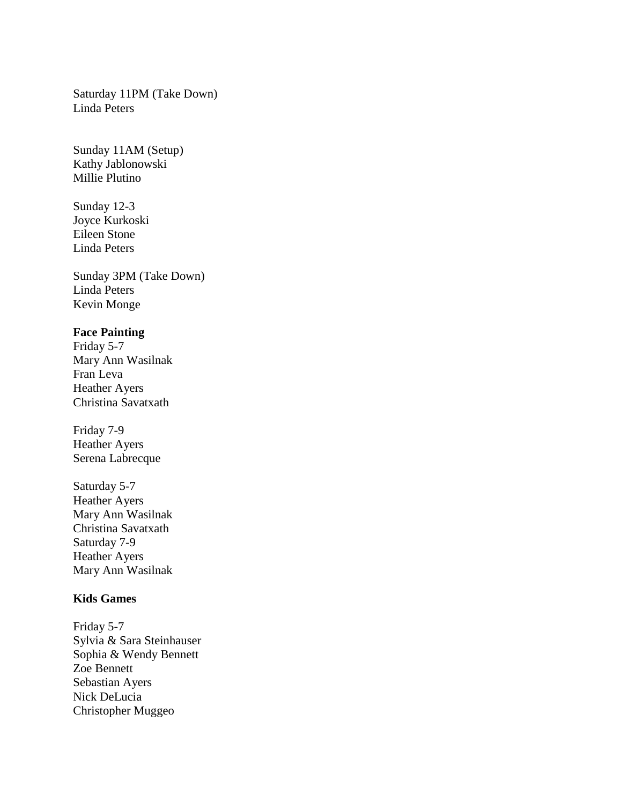Saturday 11PM (Take Down) Linda Peters

Sunday 11AM (Setup) Kathy Jablonowski Millie Plutino

Sunday 12-3 Joyce Kurkoski Eileen Stone Linda Peters

Sunday 3PM (Take Down) Linda Peters Kevin Monge

# **Face Painting**

Friday 5-7 Mary Ann Wasilnak Fran Leva Heather Ayers Christina Savatxath

Friday 7-9 Heather Ayers Serena Labrecque

Saturday 5-7 Heather Ayers Mary Ann Wasilnak Christina Savatxath Saturday 7-9 Heather Ayers Mary Ann Wasilnak

# **Kids Games**

Friday 5-7 Sylvia & Sara Steinhauser Sophia & Wendy Bennett Zoe Bennett Sebastian Ayers Nick DeLucia Christopher Muggeo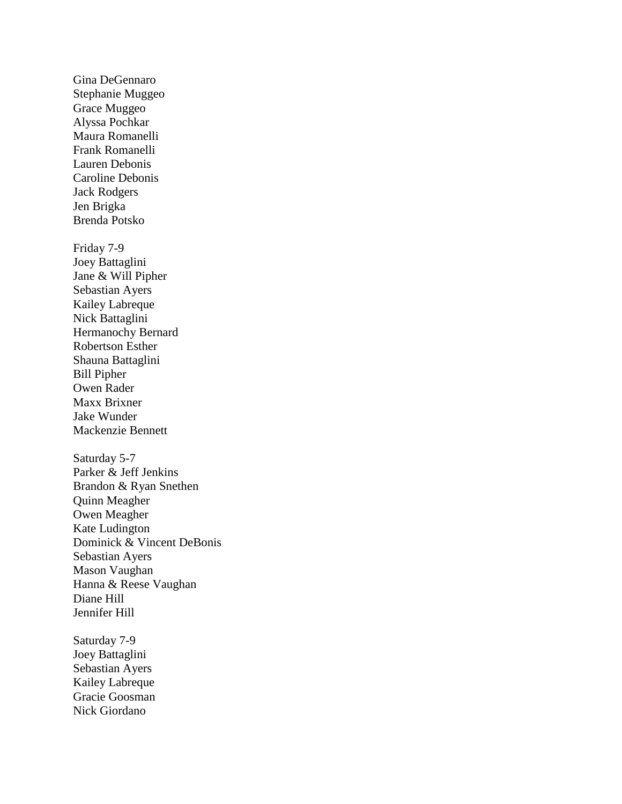Gina DeGennaro Stephanie Muggeo Grace Muggeo Alyssa Pochkar Maura Romanelli Frank Romanelli Lauren Debonis Caroline Debonis Jack Rodgers Jen Brigka Brenda Potsko Friday 7-9 Joey Battaglini Jane & Will Pipher Sebastian Ayers Kailey Labreque Nick Battaglini Hermanochy Bernard Robertson Esther Shauna Battaglini Bill Pipher Owen Rader Maxx Brixner Jake Wunder Mackenzie Bennett Saturday 5-7 Parker & Jeff Jenkins Brandon & Ryan Snethen Quinn Meagher Owen Meagher Kate Ludington Dominick & Vincent DeBonis Sebastian Ayers Mason Vaughan Hanna & Reese Vaughan Diane Hill Jennifer Hill Saturday 7-9 Joey Battaglini Sebastian Ayers Kailey Labreque

Gracie Goosman Nick Giordano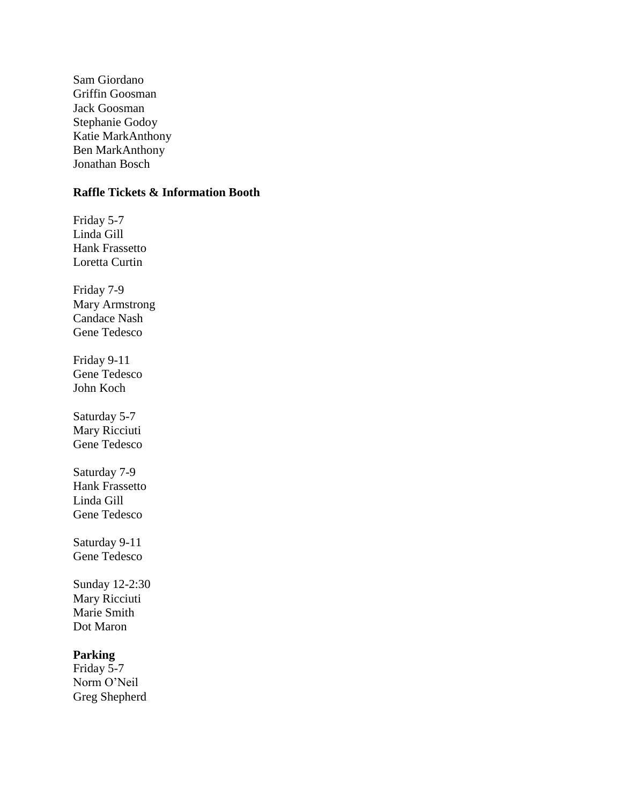Sam Giordano Griffin Goosman Jack Goosman Stephanie Godoy Katie MarkAnthony Ben MarkAnthony Jonathan Bosch

# **Raffle Tickets & Information Booth**

Friday 5-7 Linda Gill Hank Frassetto Loretta Curtin Friday 7-9 Mary Armstrong Candace Nash Gene Tedesco Friday 9-11 Gene Tedesco John Koch Saturday 5-7 Mary Ricciuti Gene Tedesco Saturday 7-9 Hank Frassetto Linda Gill Gene Tedesco Saturday 9-11 Gene Tedesco Sunday 12-2:30 Mary Ricciuti Marie Smith Dot Maron **Parking** Friday 5-7 Norm O'Neil

Greg Shepherd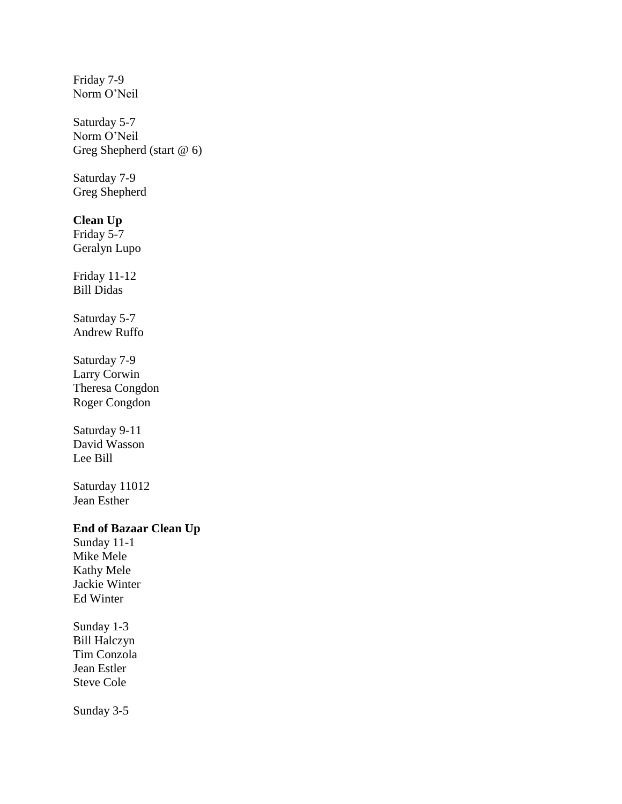Friday 7-9 Norm O'Neil Saturday 5-7 Norm O'Neil Greg Shepherd (start @ 6) Saturday 7-9 Greg Shepherd **Clean Up** Friday 5-7 Geralyn Lupo Friday 11-12 Bill Didas Saturday 5-7 Andrew Ruffo Saturday 7-9 Larry Corwin Theresa Congdon Roger Congdon Saturday 9-11 David Wasson Lee Bill Saturday 11012 Jean Esther **End of Bazaar Clean Up** Sunday 11-1 Mike Mele Kathy Mele Jackie Winter Ed Winter Sunday 1-3 Bill Halczyn Tim Conzola Jean Estler Steve Cole Sunday 3-5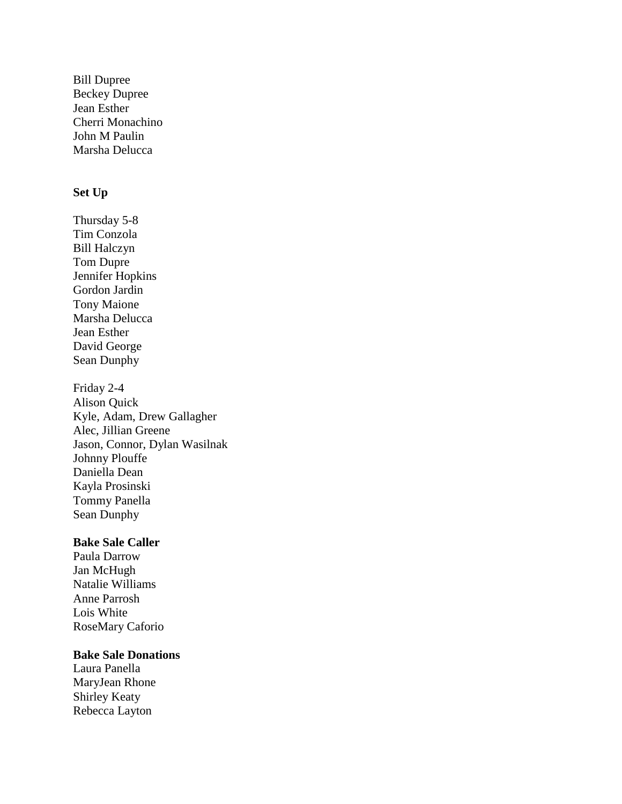Bill Dupree Beckey Dupree Jean Esther Cherri Monachino John M Paulin Marsha Delucca

# **Set Up**

Thursday 5-8 Tim Conzola Bill Halczyn Tom Dupre Jennifer Hopkins Gordon Jardin Tony Maione Marsha Delucca Jean Esther David George Sean Dunphy

Friday 2-4 Alison Quick Kyle, Adam, Drew Gallagher Alec, Jillian Greene Jason, Connor, Dylan Wasilnak Johnny Plouffe Daniella Dean Kayla Prosinski Tommy Panella Sean Dunphy

# **Bake Sale Caller**

Paula Darrow Jan McHugh Natalie Williams Anne Parrosh Lois White RoseMary Caforio

## **Bake Sale Donations**

Laura Panella MaryJean Rhone Shirley Keaty Rebecca Layton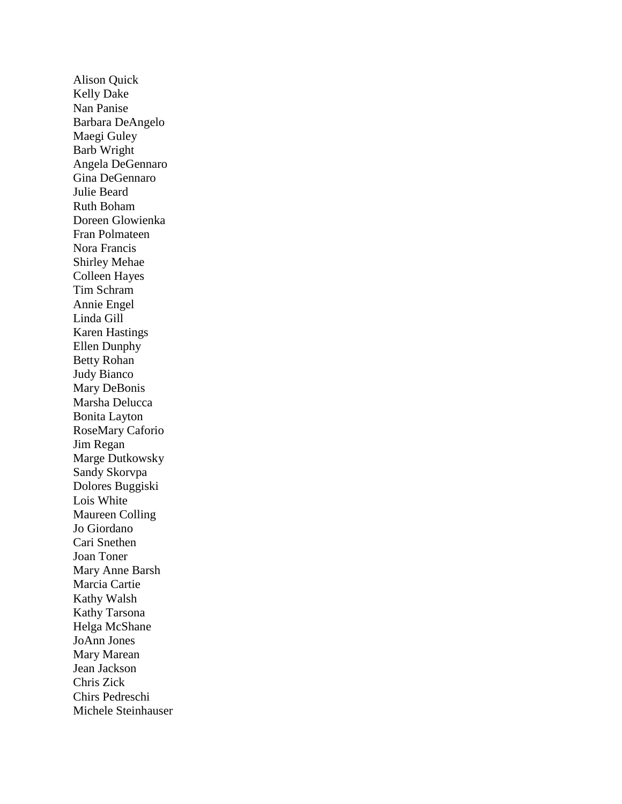Alison Quick Kelly Dake Nan Panise Barbara DeAngelo Maegi Guley Barb Wright Angela DeGennaro Gina DeGennaro Julie Beard Ruth Boham Doreen Glowienka Fran Polmateen Nora Francis Shirley Mehae Colleen Hayes Tim Schram Annie Engel Linda Gill Karen Hastings Ellen Dunphy Betty Rohan Judy Bianco Mary DeBonis Marsha Delucca Bonita Layton RoseMary Caforio Jim Regan Marge Dutkowsky Sandy Skorvpa Dolores Buggiski Lois White Maureen Colling Jo Giordano Cari Snethen Joan Toner Mary Anne Barsh Marcia Cartie Kathy Walsh Kathy Tarsona Helga McShane JoAnn Jones Mary Marean Jean Jackson Chris Zick Chirs Pedreschi Michele Steinhauser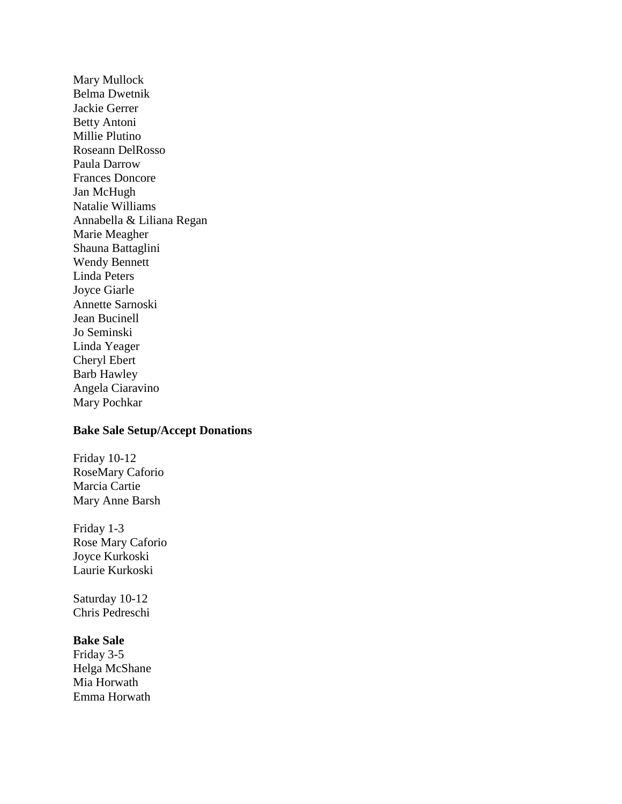Mary Mullock Belma Dwetnik Jackie Gerrer Betty Antoni Millie Plutino Roseann DelRosso Paula Darrow Frances Doncore Jan McHugh Natalie Williams Annabella & Liliana Regan Marie Meagher Shauna Battaglini Wendy Bennett Linda Peters Joyce Giarle Annette Sarnoski Jean Bucinell Jo Seminski Linda Yeager Cheryl Ebert Barb Hawley Angela Ciaravino Mary Pochkar

### **Bake Sale Setup/Accept Donations**

Friday 10-12 RoseMary Caforio Marcia Cartie Mary Anne Barsh

Friday 1-3 Rose Mary Caforio Joyce Kurkoski Laurie Kurkoski

Saturday 10-12 Chris Pedreschi

#### **Bake Sale**

Friday 3-5 Helga McShane Mia Horwath Emma Horwath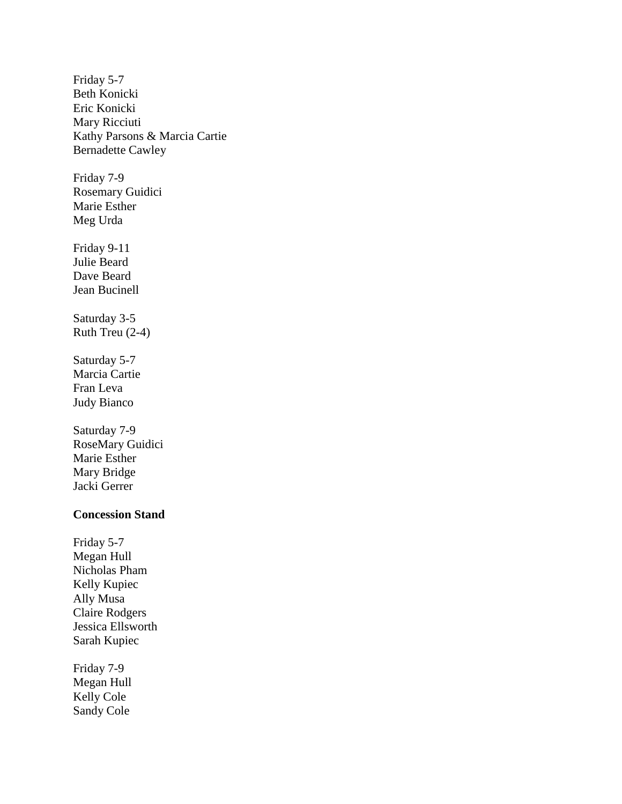Friday 5-7 Beth Konicki Eric Konicki Mary Ricciuti Kathy Parsons & Marcia Cartie Bernadette Cawley Friday 7-9 Rosemary Guidici Marie Esther Meg Urda Friday 9-11 Julie Beard Dave Beard Jean Bucinell Saturday 3-5 Ruth Treu (2-4) Saturday 5-7 Marcia Cartie Fran Leva Judy Bianco Saturday 7-9 RoseMary Guidici Marie Esther Mary Bridge Jacki Gerrer **Concession Stand** Friday 5-7 Megan Hull Nicholas Pham Kelly Kupiec Ally Musa Claire Rodgers Jessica Ellsworth Sarah Kupiec Friday 7-9

Megan Hull Kelly Cole Sandy Cole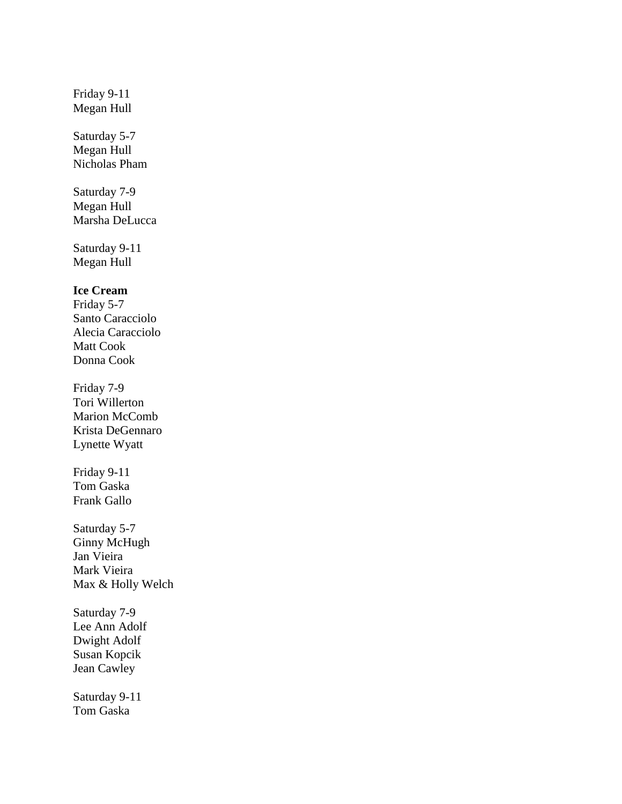Friday 9-11 Megan Hull

Saturday 5-7 Megan Hull Nicholas Pham

Saturday 7-9 Megan Hull Marsha DeLucca

Saturday 9-11 Megan Hull

**Ice Cream**

Friday 5-7 Santo Caracciolo Alecia Caracciolo Matt Cook Donna Cook

Friday 7-9 Tori Willerton Marion McComb Krista DeGennaro Lynette Wyatt

Friday 9-11 Tom Gaska Frank Gallo

Saturday 5-7 Ginny McHugh Jan Vieira Mark Vieira Max & Holly Welch

Saturday 7-9 Lee Ann Adolf Dwight Adolf Susan Kopcik Jean Cawley

Saturday 9-11 Tom Gaska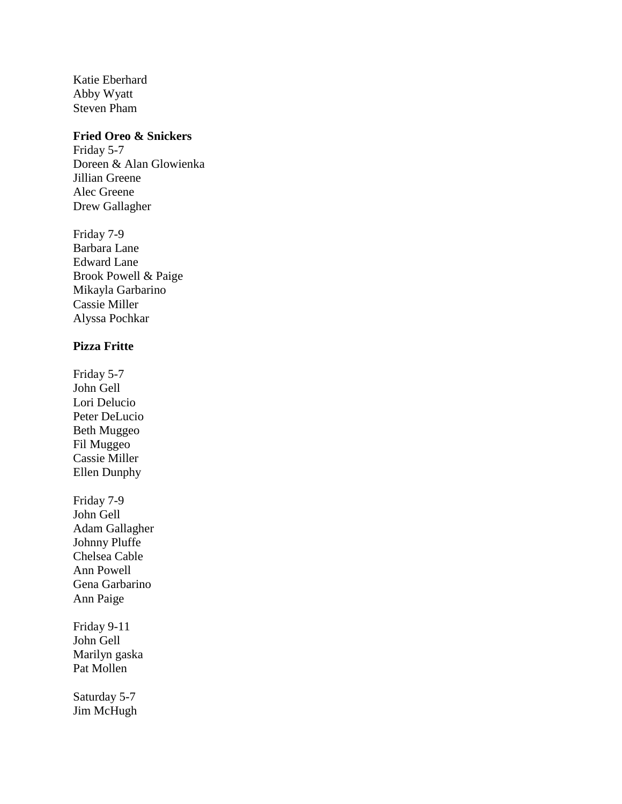Katie Eberhard Abby Wyatt Steven Pham

# **Fried Oreo & Snickers**

Friday 5-7 Doreen & Alan Glowienka Jillian Greene Alec Greene Drew Gallagher

Friday 7-9 Barbara Lane Edward Lane Brook Powell & Paige Mikayla Garbarino Cassie Miller Alyssa Pochkar

# **Pizza Fritte**

Friday 5-7 John Gell Lori Delucio Peter DeLucio Beth Muggeo Fil Muggeo Cassie Miller Ellen Dunphy Friday 7-9 John Gell Adam Gallagher Johnny Pluffe Chelsea Cable Ann Powell Gena Garbarino Ann Paige Friday 9-11

John Gell Marilyn gaska Pat Mollen

Saturday 5-7 Jim McHugh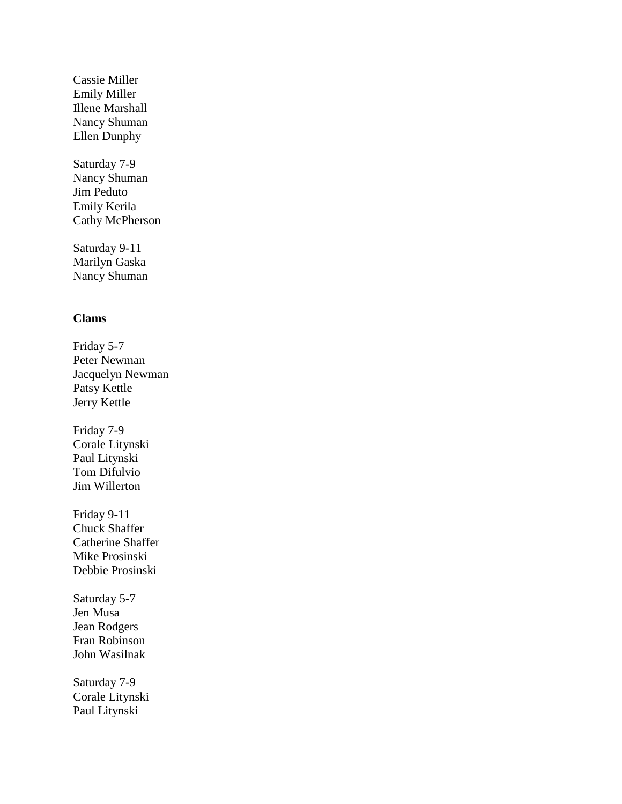Cassie Miller Emily Miller Illene Marshall Nancy Shuman Ellen Dunphy

Saturday 7-9 Nancy Shuman Jim Peduto Emily Kerila Cathy McPherson

Saturday 9-11 Marilyn Gaska Nancy Shuman

## **Clams**

Friday 5-7 Peter Newman Jacquelyn Newman Patsy Kettle Jerry Kettle Friday 7-9 Corale Litynski Paul Litynski Tom Difulvio Jim Willerton Friday 9-11 Chuck Shaffer Catherine Shaffer Mike Prosinski Debbie Prosinski Saturday 5-7 Jen Musa Jean Rodgers Fran Robinson John Wasilnak Saturday 7-9 Corale Litynski Paul Litynski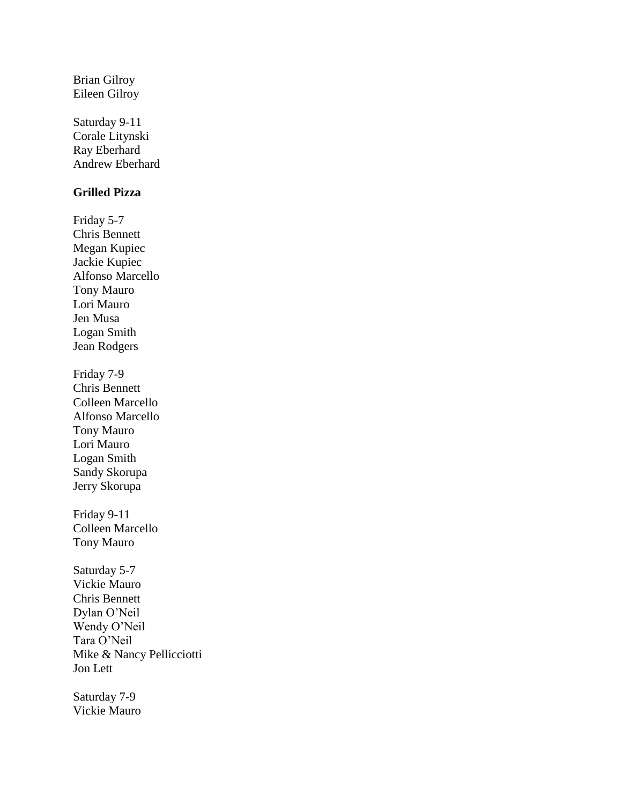Brian Gilroy Eileen Gilroy

Saturday 9-11 Corale Litynski Ray Eberhard Andrew Eberhard

# **Grilled Pizza**

Friday 5-7 Chris Bennett Megan Kupiec Jackie Kupiec Alfonso Marcello Tony Mauro Lori Mauro Jen Musa Logan Smith Jean Rodgers Friday 7-9 Chris Bennett Colleen Marcello Alfonso Marcello Tony Mauro Lori Mauro Logan Smith Sandy Skorupa Jerry Skorupa Friday 9-11 Colleen Marcello Tony Mauro Saturday 5-7 Vickie Mauro Chris Bennett Dylan O'Neil Wendy O'Neil Tara O'Neil Mike & Nancy Pellicciotti Jon Lett

Saturday 7-9 Vickie Mauro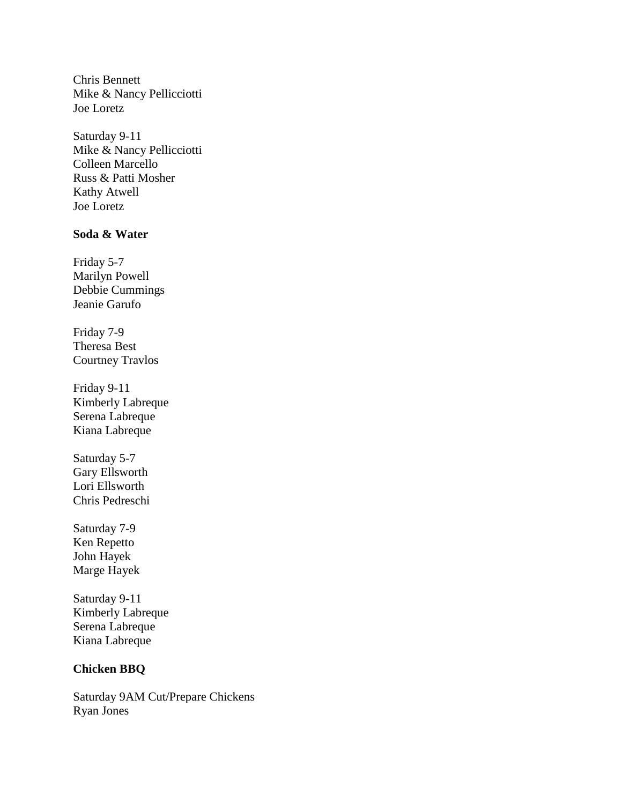Chris Bennett Mike & Nancy Pellicciotti Joe Loretz

Saturday 9-11 Mike & Nancy Pellicciotti Colleen Marcello Russ & Patti Mosher Kathy Atwell Joe Loretz

# **Soda & Water**

Friday 5-7 Marilyn Powell Debbie Cummings Jeanie Garufo

Friday 7-9 Theresa Best Courtney Travlos

Friday 9-11 Kimberly Labreque Serena Labreque Kiana Labreque

Saturday 5-7 Gary Ellsworth Lori Ellsworth Chris Pedreschi

Saturday 7-9 Ken Repetto John Hayek Marge Hayek

Saturday 9-11 Kimberly Labreque Serena Labreque Kiana Labreque

# **Chicken BBQ**

Saturday 9AM Cut/Prepare Chickens Ryan Jones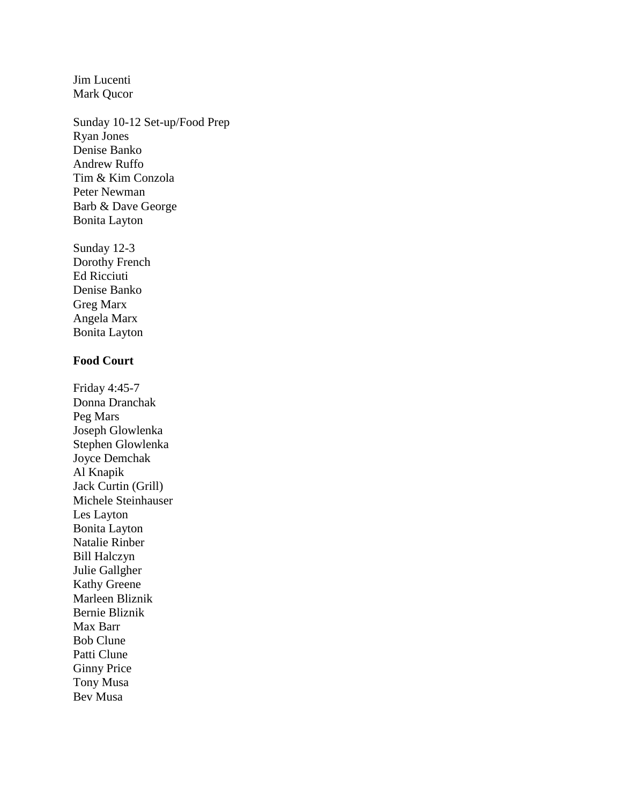Jim Lucenti Mark Qucor

Sunday 10-12 Set-up/Food Prep Ryan Jones Denise Banko Andrew Ruffo Tim & Kim Conzola Peter Newman Barb & Dave George Bonita Layton

Sunday 12-3 Dorothy French Ed Ricciuti Denise Banko Greg Marx Angela Marx Bonita Layton

# **Food Court**

Friday 4:45-7 Donna Dranchak Peg Mars Joseph Glowlenka Stephen Glowlenka Joyce Demchak Al Knapik Jack Curtin (Grill) Michele Steinhauser Les Layton Bonita Layton Natalie Rinber Bill Halczyn Julie Gallgher Kathy Greene Marleen Bliznik Bernie Bliznik Max Barr Bob Clune Patti Clune Ginny Price Tony Musa Bev Musa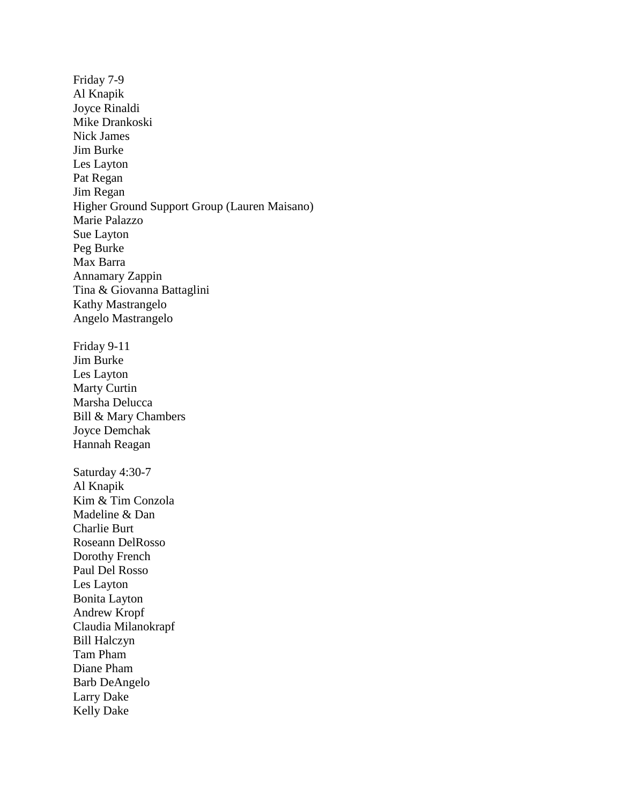Friday 7-9 Al Knapik Joyce Rinaldi Mike Drankoski Nick James Jim Burke Les Layton Pat Regan Jim Regan Higher Ground Support Group (Lauren Maisano) Marie Palazzo Sue Layton Peg Burke Max Barra Annamary Zappin Tina & Giovanna Battaglini Kathy Mastrangelo Angelo Mastrangelo Friday 9-11 Jim Burke Les Layton Marty Curtin Marsha Delucca Bill & Mary Chambers Joyce Demchak Hannah Reagan Saturday 4:30-7 Al Knapik Kim & Tim Conzola Madeline & Dan Charlie Burt Roseann DelRosso Dorothy French Paul Del Rosso Les Layton Bonita Layton Andrew Kropf Claudia Milanokrapf Bill Halczyn Tam Pham Diane Pham Barb DeAngelo Larry Dake Kelly Dake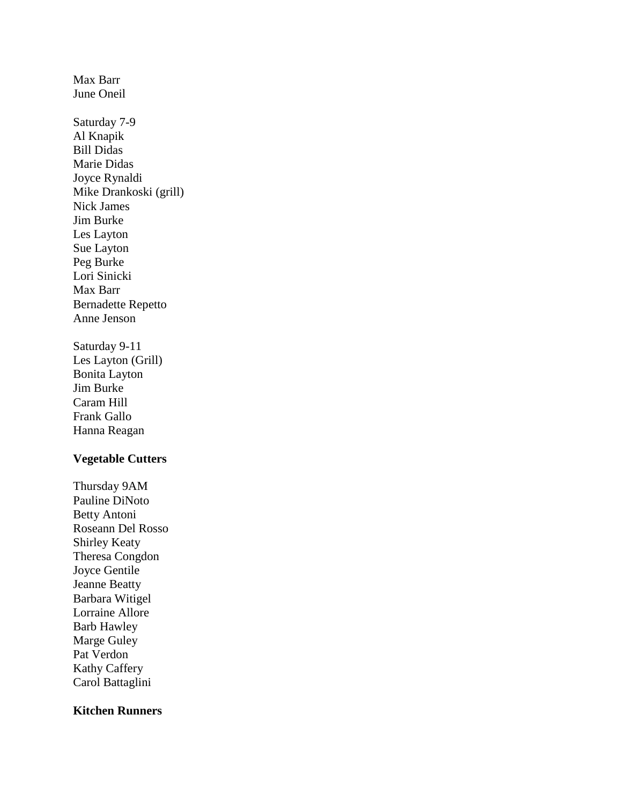June Oneil Saturday 7-9 Al Knapik Bill Didas Marie Didas Joyce Rynaldi Mike Drankoski (grill) Nick James Jim Burke Les Layton Sue Layton Peg Burke Lori Sinicki Max Barr Bernadette Repetto Anne Jenson Saturday 9-11 Les Layton (Grill) Bonita Layton Jim Burke

Max Barr

Caram Hill Frank Gallo Hanna Reagan

# **Vegetable Cutters**

Thursday 9AM Pauline DiNoto Betty Antoni Roseann Del Rosso Shirley Keaty Theresa Congdon Joyce Gentile Jeanne Beatty Barbara Witigel Lorraine Allore Barb Hawley Marge Guley Pat Verdon Kathy Caffery Carol Battaglini

# **Kitchen Runners**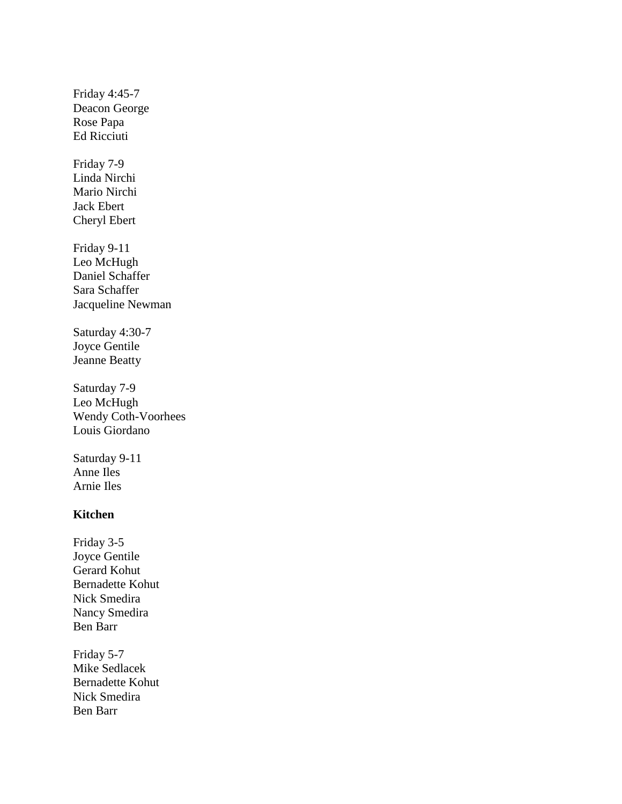Friday 4:45-7 Deacon George Rose Papa Ed Ricciuti Friday 7-9 Linda Nirchi Mario Nirchi Jack Ebert Cheryl Ebert Friday 9-11 Leo McHugh Daniel Schaffer Sara Schaffer Jacqueline Newman Saturday 4:30-7 Joyce Gentile Jeanne Beatty Saturday 7-9 Leo McHugh Wendy Coth-Voorhees Louis Giordano Saturday 9-11 Anne Iles Arnie Iles **Kitchen** Friday 3-5 Joyce Gentile Gerard Kohut Bernadette Kohut Nick Smedira Nancy Smedira Ben Barr Friday 5-7 Mike Sedlacek Bernadette Kohut Nick Smedira Ben Barr